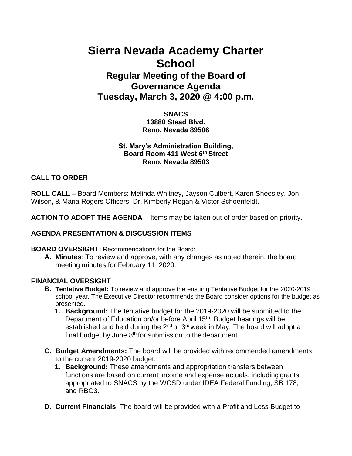# **Sierra Nevada Academy Charter School**

# **Regular Meeting of the Board of Governance Agenda Tuesday, March 3, 2020 @ 4:00 p.m.**

**SNACS 13880 Stead Blvd. Reno, Nevada 89506**

## **St. Mary's Administration Building, Board Room 411 West 6th Street Reno, Nevada 89503**

# **CALL TO ORDER**

**ROLL CALL –** Board Members: Melinda Whitney, Jayson Culbert, Karen Sheesley. Jon Wilson, & Maria Rogers Officers: Dr. Kimberly Regan & Victor Schoenfeldt.

**ACTION TO ADOPT THE AGENDA** – Items may be taken out of order based on priority.

## **AGENDA PRESENTATION & DISCUSSION ITEMS**

**BOARD OVERSIGHT:** Recommendations for the Board:

**A. Minutes**: To review and approve, with any changes as noted therein, the board meeting minutes for February 11, 2020.

#### **FINANCIAL OVERSIGHT**

- **B. Tentative Budget:** To review and approve the ensuing Tentative Budget for the 2020-2019 school year. The Executive Director recommends the Board consider options for the budget as presented.
	- **1. Background:** The tentative budget for the 2019-2020 will be submitted to the Department of Education on/or before April 15<sup>th</sup>. Budget hearings will be established and held during the  $2^{nd}$  or  $3^{rd}$  week in May. The board will adopt a final budget by June  $8<sup>th</sup>$  for submission to the department.
- **C. Budget Amendments:** The board will be provided with recommended amendments to the current 2019-2020 budget.
	- **1. Background:** These amendments and appropriation transfers between functions are based on current income and expense actuals, including grants appropriated to SNACS by the WCSD under IDEA Federal Funding, SB 178, and RBG3.
- **D. Current Financials**: The board will be provided with a Profit and Loss Budget to